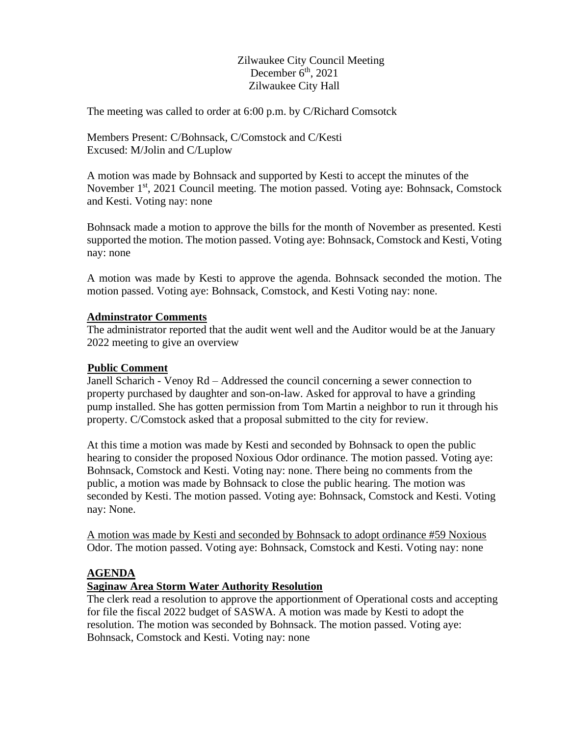Zilwaukee City Council Meeting December 6<sup>th</sup>, 2021 Zilwaukee City Hall

The meeting was called to order at 6:00 p.m. by C/Richard Comsotck

Members Present: C/Bohnsack, C/Comstock and C/Kesti Excused: M/Jolin and C/Luplow

A motion was made by Bohnsack and supported by Kesti to accept the minutes of the November 1<sup>st</sup>, 2021 Council meeting. The motion passed. Voting aye: Bohnsack, Comstock and Kesti. Voting nay: none

Bohnsack made a motion to approve the bills for the month of November as presented. Kesti supported the motion. The motion passed. Voting aye: Bohnsack, Comstock and Kesti, Voting nay: none

A motion was made by Kesti to approve the agenda. Bohnsack seconded the motion. The motion passed. Voting aye: Bohnsack, Comstock, and Kesti Voting nay: none.

#### **Adminstrator Comments**

The administrator reported that the audit went well and the Auditor would be at the January 2022 meeting to give an overview

#### **Public Comment**

Janell Scharich - Venoy Rd – Addressed the council concerning a sewer connection to property purchased by daughter and son-on-law. Asked for approval to have a grinding pump installed. She has gotten permission from Tom Martin a neighbor to run it through his property. C/Comstock asked that a proposal submitted to the city for review.

At this time a motion was made by Kesti and seconded by Bohnsack to open the public hearing to consider the proposed Noxious Odor ordinance. The motion passed. Voting aye: Bohnsack, Comstock and Kesti. Voting nay: none. There being no comments from the public, a motion was made by Bohnsack to close the public hearing. The motion was seconded by Kesti. The motion passed. Voting aye: Bohnsack, Comstock and Kesti. Voting nay: None.

A motion was made by Kesti and seconded by Bohnsack to adopt ordinance #59 Noxious Odor. The motion passed. Voting aye: Bohnsack, Comstock and Kesti. Voting nay: none

# **AGENDA**

# **Saginaw Area Storm Water Authority Resolution**

The clerk read a resolution to approve the apportionment of Operational costs and accepting for file the fiscal 2022 budget of SASWA. A motion was made by Kesti to adopt the resolution. The motion was seconded by Bohnsack. The motion passed. Voting aye: Bohnsack, Comstock and Kesti. Voting nay: none